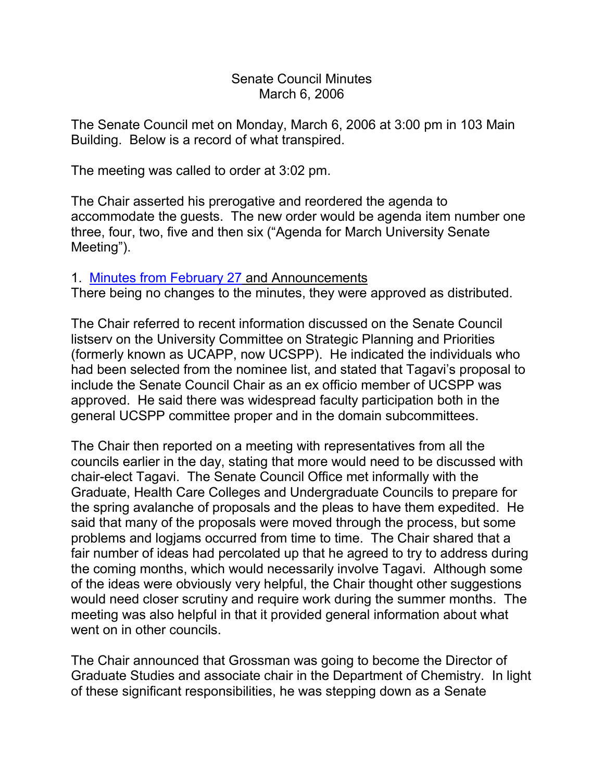### Senate Council Minutes March 6, 2006

The Senate Council met on Monday, March 6, 2006 at 3:00 pm in 103 Main Building. Below is a record of what transpired.

The meeting was called to order at 3:02 pm.

The Chair asserted his prerogative and reordered the agenda to accommodate the guests. The new order would be agenda item number one three, four, two, five and then six ("Agenda for March University Senate Meeting").

## 1. [Minutes from February 27](http://www.uky.edu/USC/New/SCMinutes/SC%20Minutes%20February%2027%202006%20TO%20SC%20FINAL.htm) and Announcements

There being no changes to the minutes, they were approved as distributed.

The Chair referred to recent information discussed on the Senate Council listserv on the University Committee on Strategic Planning and Priorities (formerly known as UCAPP, now UCSPP). He indicated the individuals who had been selected from the nominee list, and stated that Tagavi's proposal to include the Senate Council Chair as an ex officio member of UCSPP was approved. He said there was widespread faculty participation both in the general UCSPP committee proper and in the domain subcommittees.

The Chair then reported on a meeting with representatives from all the councils earlier in the day, stating that more would need to be discussed with chair-elect Tagavi. The Senate Council Office met informally with the Graduate, Health Care Colleges and Undergraduate Councils to prepare for the spring avalanche of proposals and the pleas to have them expedited. He said that many of the proposals were moved through the process, but some problems and logjams occurred from time to time. The Chair shared that a fair number of ideas had percolated up that he agreed to try to address during the coming months, which would necessarily involve Tagavi. Although some of the ideas were obviously very helpful, the Chair thought other suggestions would need closer scrutiny and require work during the summer months. The meeting was also helpful in that it provided general information about what went on in other councils.

The Chair announced that Grossman was going to become the Director of Graduate Studies and associate chair in the Department of Chemistry. In light of these significant responsibilities, he was stepping down as a Senate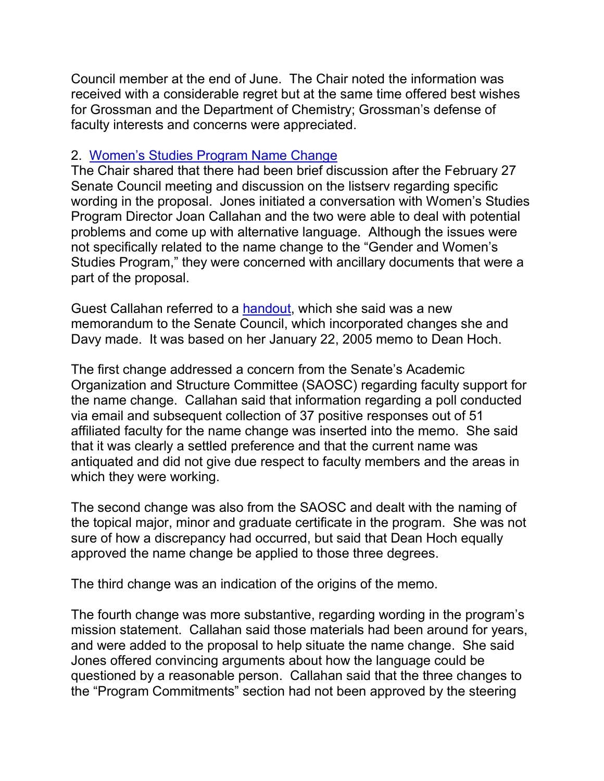Council member at the end of June. The Chair noted the information was received with a considerable regret but at the same time offered best wishes for Grossman and the Department of Chemistry; Grossman's defense of faculty interests and concerns were appreciated.

### 2. [Women's Studies Program Name Change](http://www.uky.edu/USC/New/SCAgendas/20060306/Women%27s%20Studies%20name%20change%20petition.pdf)

The Chair shared that there had been brief discussion after the February 27 Senate Council meeting and discussion on the listserv regarding specific wording in the proposal. Jones initiated a conversation with Women's Studies Program Director Joan Callahan and the two were able to deal with potential problems and come up with alternative language. Although the issues were not specifically related to the name change to the "Gender and Women's Studies Program," they were concerned with ancillary documents that were a part of the proposal.

Guest Callahan referred to a [handout,](http://www.uky.edu/USC/New/SCAgendas/20060306/Women%27s%20Studies%20name%20change%20petition.pdf) which she said was a new memorandum to the Senate Council, which incorporated changes she and Davy made. It was based on her January 22, 2005 memo to Dean Hoch.

The first change addressed a concern from the Senate's Academic Organization and Structure Committee (SAOSC) regarding faculty support for the name change. Callahan said that information regarding a poll conducted via email and subsequent collection of 37 positive responses out of 51 affiliated faculty for the name change was inserted into the memo. She said that it was clearly a settled preference and that the current name was antiquated and did not give due respect to faculty members and the areas in which they were working.

The second change was also from the SAOSC and dealt with the naming of the topical major, minor and graduate certificate in the program. She was not sure of how a discrepancy had occurred, but said that Dean Hoch equally approved the name change be applied to those three degrees.

The third change was an indication of the origins of the memo.

The fourth change was more substantive, regarding wording in the program's mission statement. Callahan said those materials had been around for years, and were added to the proposal to help situate the name change. She said Jones offered convincing arguments about how the language could be questioned by a reasonable person. Callahan said that the three changes to the "Program Commitments" section had not been approved by the steering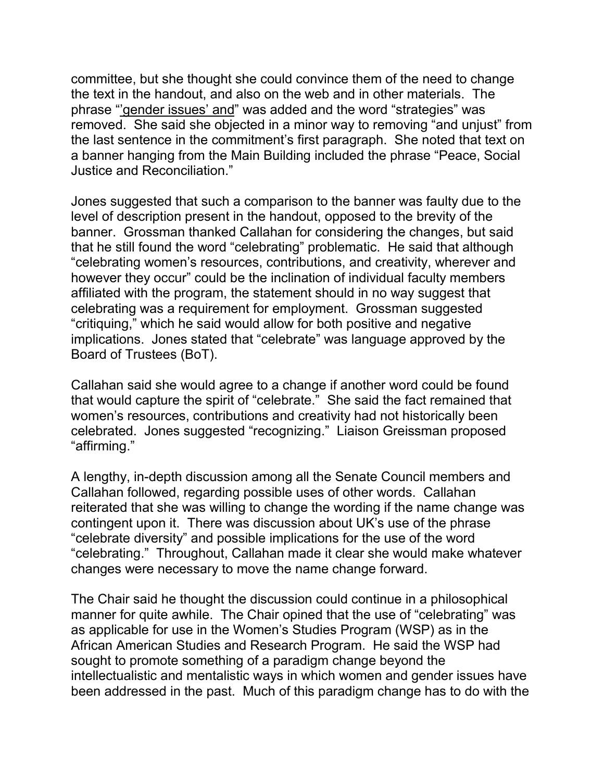committee, but she thought she could convince them of the need to change the text in the handout, and also on the web and in other materials. The phrase "'gender issues' and" was added and the word "strategies" was removed. She said she objected in a minor way to removing "and unjust" from the last sentence in the commitment's first paragraph. She noted that text on a banner hanging from the Main Building included the phrase "Peace, Social Justice and Reconciliation."

Jones suggested that such a comparison to the banner was faulty due to the level of description present in the handout, opposed to the brevity of the banner. Grossman thanked Callahan for considering the changes, but said that he still found the word "celebrating" problematic. He said that although "celebrating women's resources, contributions, and creativity, wherever and however they occur" could be the inclination of individual faculty members affiliated with the program, the statement should in no way suggest that celebrating was a requirement for employment. Grossman suggested "critiquing," which he said would allow for both positive and negative implications. Jones stated that "celebrate" was language approved by the Board of Trustees (BoT).

Callahan said she would agree to a change if another word could be found that would capture the spirit of "celebrate." She said the fact remained that women's resources, contributions and creativity had not historically been celebrated. Jones suggested "recognizing." Liaison Greissman proposed "affirming."

A lengthy, in-depth discussion among all the Senate Council members and Callahan followed, regarding possible uses of other words. Callahan reiterated that she was willing to change the wording if the name change was contingent upon it. There was discussion about UK's use of the phrase "celebrate diversity" and possible implications for the use of the word "celebrating." Throughout, Callahan made it clear she would make whatever changes were necessary to move the name change forward.

The Chair said he thought the discussion could continue in a philosophical manner for quite awhile. The Chair opined that the use of "celebrating" was as applicable for use in the Women's Studies Program (WSP) as in the African American Studies and Research Program. He said the WSP had sought to promote something of a paradigm change beyond the intellectualistic and mentalistic ways in which women and gender issues have been addressed in the past. Much of this paradigm change has to do with the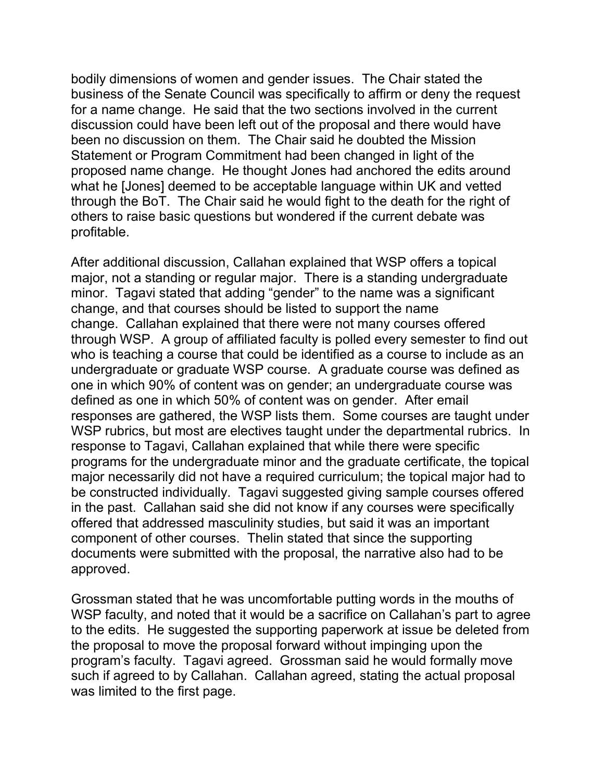bodily dimensions of women and gender issues. The Chair stated the business of the Senate Council was specifically to affirm or deny the request for a name change. He said that the two sections involved in the current discussion could have been left out of the proposal and there would have been no discussion on them. The Chair said he doubted the Mission Statement or Program Commitment had been changed in light of the proposed name change. He thought Jones had anchored the edits around what he [Jones] deemed to be acceptable language within UK and vetted through the BoT. The Chair said he would fight to the death for the right of others to raise basic questions but wondered if the current debate was profitable.

After additional discussion, Callahan explained that WSP offers a topical major, not a standing or regular major. There is a standing undergraduate minor. Tagavi stated that adding "gender" to the name was a significant change, and that courses should be listed to support the name change. Callahan explained that there were not many courses offered through WSP. A group of affiliated faculty is polled every semester to find out who is teaching a course that could be identified as a course to include as an undergraduate or graduate WSP course. A graduate course was defined as one in which 90% of content was on gender; an undergraduate course was defined as one in which 50% of content was on gender. After email responses are gathered, the WSP lists them. Some courses are taught under WSP rubrics, but most are electives taught under the departmental rubrics. In response to Tagavi, Callahan explained that while there were specific programs for the undergraduate minor and the graduate certificate, the topical major necessarily did not have a required curriculum; the topical major had to be constructed individually. Tagavi suggested giving sample courses offered in the past. Callahan said she did not know if any courses were specifically offered that addressed masculinity studies, but said it was an important component of other courses. Thelin stated that since the supporting documents were submitted with the proposal, the narrative also had to be approved.

Grossman stated that he was uncomfortable putting words in the mouths of WSP faculty, and noted that it would be a sacrifice on Callahan's part to agree to the edits. He suggested the supporting paperwork at issue be deleted from the proposal to move the proposal forward without impinging upon the program's faculty. Tagavi agreed. Grossman said he would formally move such if agreed to by Callahan. Callahan agreed, stating the actual proposal was limited to the first page.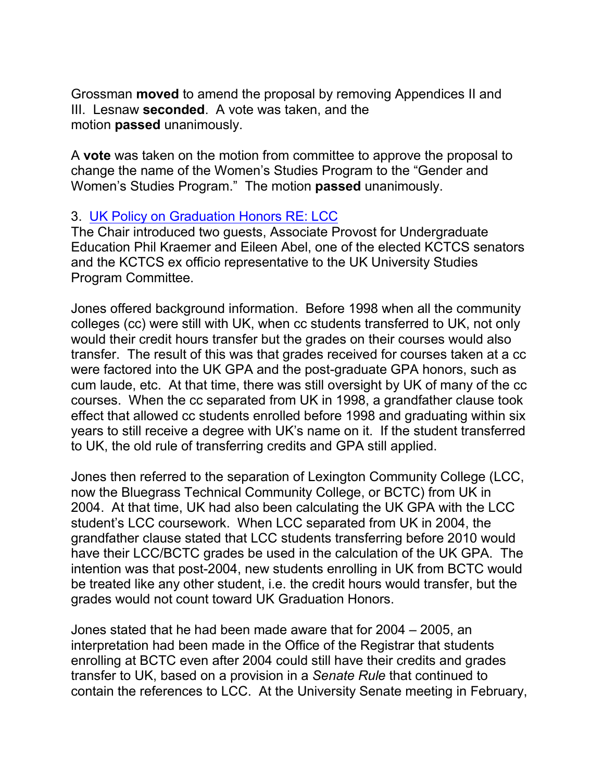Grossman **moved** to amend the proposal by removing Appendices II and III. Lesnaw **seconded**. A vote was taken, and the motion **passed** unanimously.

A **vote** was taken on the motion from committee to approve the proposal to change the name of the Women's Studies Program to the "Gender and Women's Studies Program." The motion **passed** unanimously.

### 3. [UK](http://www.uky.edu/USC/New/SCAgendas/20060306/UK%20Policy%20on%20Grad%20Honors%20re%20LCC%20transfers.pdf) [Policy on Graduation Honors RE: LCC](http://www.uky.edu/USC/New/SCAgendas/20060306/UK%20Policy%20on%20Grad%20Honors%20re%20LCC%20transfers.pdf)

The Chair introduced two guests, Associate Provost for Undergraduate Education Phil Kraemer and Eileen Abel, one of the elected KCTCS senators and the KCTCS ex officio representative to the UK University Studies Program Committee.

Jones offered background information. Before 1998 when all the community colleges (cc) were still with UK, when cc students transferred to UK, not only would their credit hours transfer but the grades on their courses would also transfer. The result of this was that grades received for courses taken at a cc were factored into the UK GPA and the post-graduate GPA honors, such as cum laude, etc. At that time, there was still oversight by UK of many of the cc courses. When the cc separated from UK in 1998, a grandfather clause took effect that allowed cc students enrolled before 1998 and graduating within six years to still receive a degree with UK's name on it. If the student transferred to UK, the old rule of transferring credits and GPA still applied.

Jones then referred to the separation of Lexington Community College (LCC, now the Bluegrass Technical Community College, or BCTC) from UK in 2004. At that time, UK had also been calculating the UK GPA with the LCC student's LCC coursework. When LCC separated from UK in 2004, the grandfather clause stated that LCC students transferring before 2010 would have their LCC/BCTC grades be used in the calculation of the UK GPA. The intention was that post-2004, new students enrolling in UK from BCTC would be treated like any other student, i.e. the credit hours would transfer, but the grades would not count toward UK Graduation Honors.

Jones stated that he had been made aware that for 2004 – 2005, an interpretation had been made in the Office of the Registrar that students enrolling at BCTC even after 2004 could still have their credits and grades transfer to UK, based on a provision in a *Senate Rule* that continued to contain the references to LCC. At the University Senate meeting in February,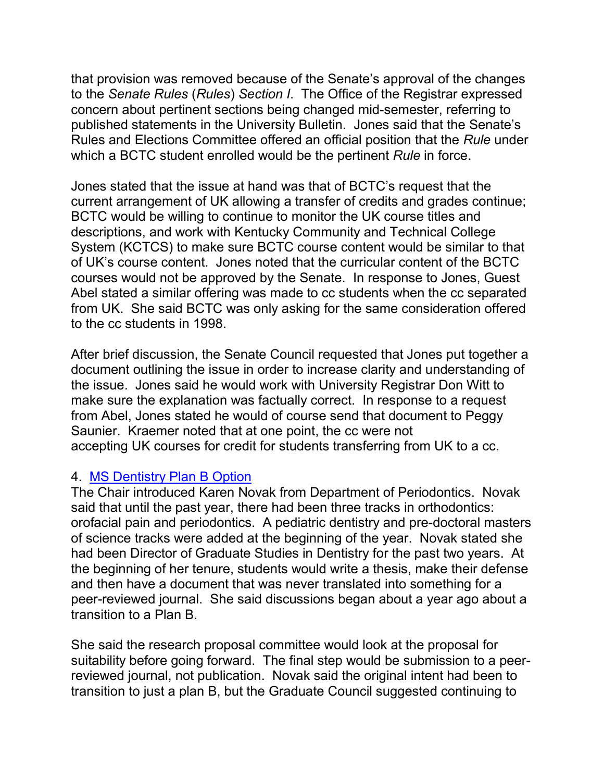that provision was removed because of the Senate's approval of the changes to the *Senate Rules* (*Rules*) *Section I*. The Office of the Registrar expressed concern about pertinent sections being changed mid-semester, referring to published statements in the University Bulletin. Jones said that the Senate's Rules and Elections Committee offered an official position that the *Rule* under which a BCTC student enrolled would be the pertinent *Rule* in force.

Jones stated that the issue at hand was that of BCTC's request that the current arrangement of UK allowing a transfer of credits and grades continue; BCTC would be willing to continue to monitor the UK course titles and descriptions, and work with Kentucky Community and Technical College System (KCTCS) to make sure BCTC course content would be similar to that of UK's course content. Jones noted that the curricular content of the BCTC courses would not be approved by the Senate. In response to Jones, Guest Abel stated a similar offering was made to cc students when the cc separated from UK. She said BCTC was only asking for the same consideration offered to the cc students in 1998.

After brief discussion, the Senate Council requested that Jones put together a document outlining the issue in order to increase clarity and understanding of the issue. Jones said he would work with University Registrar Don Witt to make sure the explanation was factually correct. In response to a request from Abel, Jones stated he would of course send that document to Peggy Saunier. Kraemer noted that at one point, the cc were not accepting UK courses for credit for students transferring from UK to a cc.

#### 4. [MS Dentistry Plan B Option](http://www.uky.edu/USC/New/SCAgendas/20060227/New%20Pgm_MS%20Dentistry%20Plan%20B%20Option_amended.pdf)

The Chair introduced Karen Novak from Department of Periodontics. Novak said that until the past year, there had been three tracks in orthodontics: orofacial pain and periodontics. A pediatric dentistry and pre-doctoral masters of science tracks were added at the beginning of the year. Novak stated she had been Director of Graduate Studies in Dentistry for the past two years. At the beginning of her tenure, students would write a thesis, make their defense and then have a document that was never translated into something for a peer-reviewed journal. She said discussions began about a year ago about a transition to a Plan B.

She said the research proposal committee would look at the proposal for suitability before going forward. The final step would be submission to a peerreviewed journal, not publication. Novak said the original intent had been to transition to just a plan B, but the Graduate Council suggested continuing to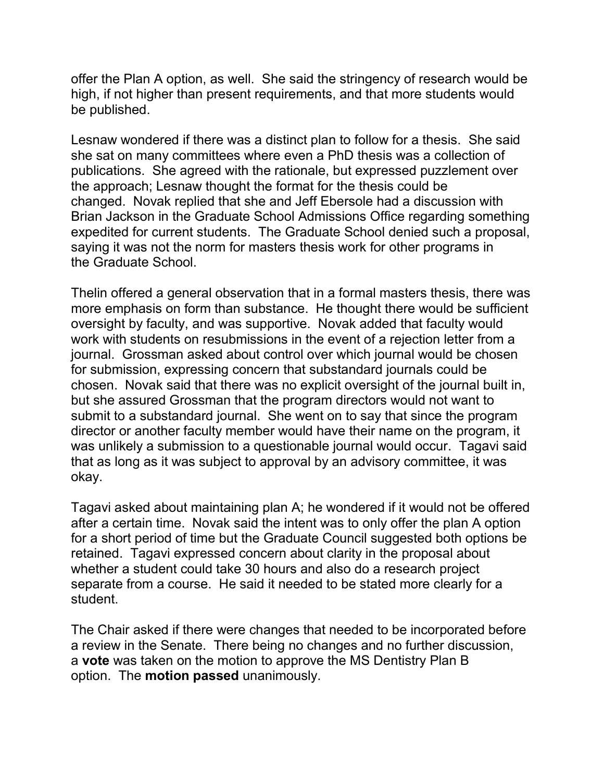offer the Plan A option, as well. She said the stringency of research would be high, if not higher than present requirements, and that more students would be published.

Lesnaw wondered if there was a distinct plan to follow for a thesis. She said she sat on many committees where even a PhD thesis was a collection of publications. She agreed with the rationale, but expressed puzzlement over the approach; Lesnaw thought the format for the thesis could be changed. Novak replied that she and Jeff Ebersole had a discussion with Brian Jackson in the Graduate School Admissions Office regarding something expedited for current students. The Graduate School denied such a proposal, saying it was not the norm for masters thesis work for other programs in the Graduate School.

Thelin offered a general observation that in a formal masters thesis, there was more emphasis on form than substance. He thought there would be sufficient oversight by faculty, and was supportive. Novak added that faculty would work with students on resubmissions in the event of a rejection letter from a journal. Grossman asked about control over which journal would be chosen for submission, expressing concern that substandard journals could be chosen. Novak said that there was no explicit oversight of the journal built in, but she assured Grossman that the program directors would not want to submit to a substandard journal. She went on to say that since the program director or another faculty member would have their name on the program, it was unlikely a submission to a questionable journal would occur. Tagavi said that as long as it was subject to approval by an advisory committee, it was okay.

Tagavi asked about maintaining plan A; he wondered if it would not be offered after a certain time. Novak said the intent was to only offer the plan A option for a short period of time but the Graduate Council suggested both options be retained. Tagavi expressed concern about clarity in the proposal about whether a student could take 30 hours and also do a research project separate from a course. He said it needed to be stated more clearly for a student.

The Chair asked if there were changes that needed to be incorporated before a review in the Senate. There being no changes and no further discussion, a **vote** was taken on the motion to approve the MS Dentistry Plan B option. The **motion passed** unanimously.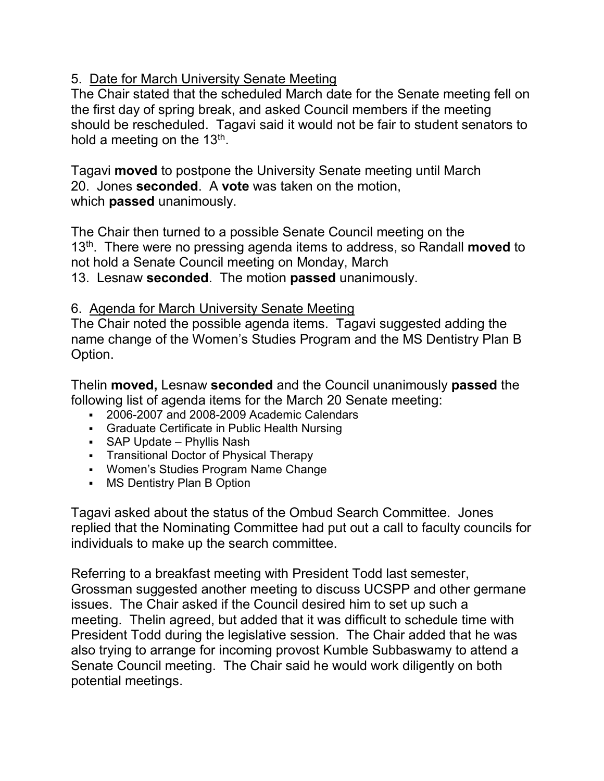# 5. Date for March University Senate Meeting

The Chair stated that the scheduled March date for the Senate meeting fell on the first day of spring break, and asked Council members if the meeting should be rescheduled. Tagavi said it would not be fair to student senators to hold a meeting on the  $13<sup>th</sup>$ .

Tagavi **moved** to postpone the University Senate meeting until March 20. Jones **seconded**. A **vote** was taken on the motion, which **passed** unanimously.

The Chair then turned to a possible Senate Council meeting on the 13th. There were no pressing agenda items to address, so Randall **moved** to not hold a Senate Council meeting on Monday, March 13. Lesnaw **seconded**. The motion **passed** unanimously.

# 6. Agenda for March University Senate Meeting

The Chair noted the possible agenda items. Tagavi suggested adding the name change of the Women's Studies Program and the MS Dentistry Plan B Option.

Thelin **moved,** Lesnaw **seconded** and the Council unanimously **passed** the following list of agenda items for the March 20 Senate meeting:

- 2006-2007 and 2008-2009 Academic Calendars
- Graduate Certificate in Public Health Nursing
- SAP Update Phyllis Nash
- **Transitional Doctor of Physical Therapy**
- Women's Studies Program Name Change
- MS Dentistry Plan B Option

Tagavi asked about the status of the Ombud Search Committee. Jones replied that the Nominating Committee had put out a call to faculty councils for individuals to make up the search committee.

Referring to a breakfast meeting with President Todd last semester, Grossman suggested another meeting to discuss UCSPP and other germane issues. The Chair asked if the Council desired him to set up such a meeting. Thelin agreed, but added that it was difficult to schedule time with President Todd during the legislative session. The Chair added that he was also trying to arrange for incoming provost Kumble Subbaswamy to attend a Senate Council meeting. The Chair said he would work diligently on both potential meetings.